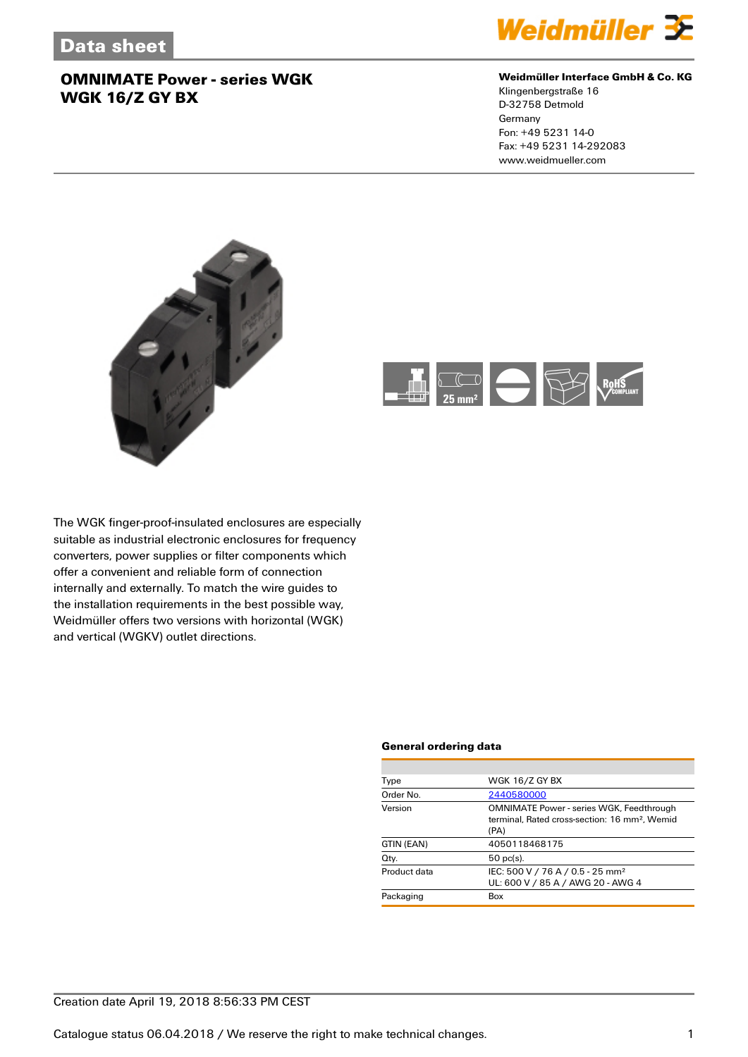

#### **Weidmüller Interface GmbH & Co. KG**

Klingenbergstraße 16 D-32758 Detmold Germany Fon: +49 5231 14-0 Fax: +49 5231 14-292083 www.weidmueller.com





The WGK finger-proof-insulated enclosures are especially suitable as industrial electronic enclosures for frequency converters, power supplies or filter components which offer a convenient and reliable form of connection internally and externally. To match the wire guides to the installation requirements in the best possible way, Weidmüller offers two versions with horizontal (WGK) and vertical (WGKV) outlet directions.

#### **General ordering data**

| Type         | <b>WGK 16/Z GY BX</b>                                                                                                |  |  |
|--------------|----------------------------------------------------------------------------------------------------------------------|--|--|
| Order No.    | 2440580000                                                                                                           |  |  |
| Version      | <b>OMNIMATE Power - series WGK, Feedthrough</b><br>terminal. Rated cross-section: 16 mm <sup>2</sup> . Wemid<br>(PA) |  |  |
| GTIN (EAN)   | 4050118468175                                                                                                        |  |  |
| Qty.         | $50$ pc(s).                                                                                                          |  |  |
| Product data | IEC: 500 V / 76 A / 0.5 - 25 mm <sup>2</sup><br>UL: 600 V / 85 A / AWG 20 - AWG 4                                    |  |  |
| Packaging    | Box                                                                                                                  |  |  |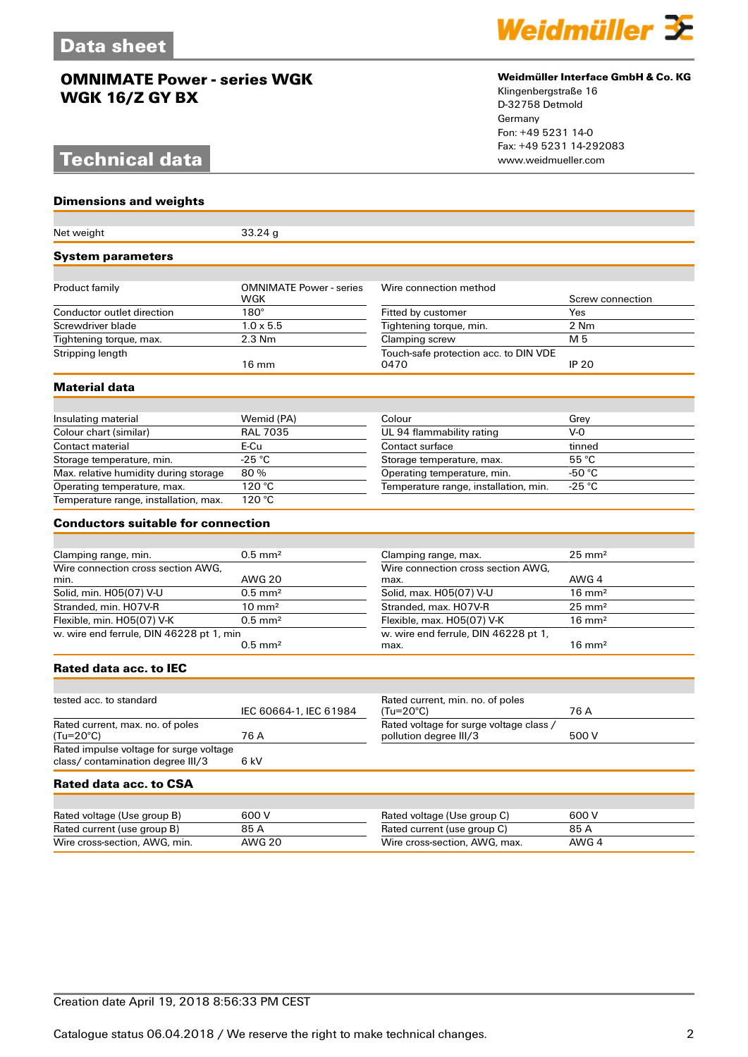# **Technical data**

**Dimensions and weights**



#### **Weidmüller Interface GmbH & Co. KG**

Klingenbergstraße 16 D-32758 Detmold Germany Fon: +49 5231 14-0 Fax: +49 5231 14-292083

| Net weight                                                                   | 33.24g                         |                                                                   |                   |  |
|------------------------------------------------------------------------------|--------------------------------|-------------------------------------------------------------------|-------------------|--|
| <b>System parameters</b>                                                     |                                |                                                                   |                   |  |
|                                                                              | <b>OMNIMATE Power - series</b> | Wire connection method                                            |                   |  |
| Product family                                                               | WGK                            |                                                                   | Screw connection  |  |
| Conductor outlet direction                                                   | $180^\circ$                    | Fitted by customer                                                | Yes               |  |
| Screwdriver blade                                                            | $1.0 \times 5.5$               | Tightening torque, min.                                           | 2 Nm              |  |
| Tightening torque, max.                                                      | $2.3$ Nm                       | Clamping screw                                                    | M <sub>5</sub>    |  |
| Stripping length                                                             | $16 \text{ mm}$                | Touch-safe protection acc. to DIN VDE<br>0470                     | <b>IP 20</b>      |  |
| Material data                                                                |                                |                                                                   |                   |  |
|                                                                              |                                |                                                                   |                   |  |
| Insulating material                                                          | Wemid (PA)                     | Colour                                                            | Grey              |  |
| Colour chart (similar)                                                       | <b>RAL 7035</b>                | UL 94 flammability rating                                         | $V-0$             |  |
| Contact material                                                             | E-Cu                           | Contact surface                                                   | tinned            |  |
| Storage temperature, min.                                                    | -25 $^{\circ}$ C               | Storage temperature, max.                                         | $55^{\circ}$ C    |  |
| Max. relative humidity during storage                                        | 80%                            | Operating temperature, min.                                       | -50 $^{\circ}$ C  |  |
| Operating temperature, max.                                                  | 120 °C<br>120 °C               | Temperature range, installation, min.                             | $-25 °C$          |  |
| Temperature range, installation, max.                                        |                                |                                                                   |                   |  |
| <b>Conductors suitable for connection</b>                                    |                                |                                                                   |                   |  |
|                                                                              | $0.5$ mm <sup>2</sup>          |                                                                   | $25 \text{ mm}^2$ |  |
| Clamping range, min.<br>Wire connection cross section AWG.                   |                                | Clamping range, max.<br>Wire connection cross section AWG,        |                   |  |
| min.                                                                         | <b>AWG 20</b>                  | max.                                                              | AWG 4             |  |
| Solid, min. H05(07) V-U                                                      | $0.5$ mm <sup>2</sup>          | Solid, max. H05(07) V-U                                           | $16 \text{ mm}^2$ |  |
| Stranded, min. H07V-R                                                        | $10 \text{ mm}^2$              | Stranded, max. H07V-R                                             | $25 \text{ mm}^2$ |  |
| Flexible, min. H05(07) V-K                                                   | $0.5$ mm <sup>2</sup>          | Flexible, max. H05(07) V-K                                        | $16 \text{ mm}^2$ |  |
| w. wire end ferrule, DIN 46228 pt 1, min                                     | $0.5$ mm <sup>2</sup>          | w. wire end ferrule, DIN 46228 pt 1,<br>max.                      | $16 \text{ mm}^2$ |  |
| Rated data acc. to IEC                                                       |                                |                                                                   |                   |  |
|                                                                              |                                |                                                                   |                   |  |
| tested acc. to standard                                                      | IEC 60664-1, IEC 61984         | Rated current, min. no. of poles<br>(Tu=20°C)                     | 76 A              |  |
| Rated current, max. no. of poles<br>(Tu=20°C)                                | 76 A                           | Rated voltage for surge voltage class /<br>pollution degree III/3 | 500 V             |  |
| Rated impulse voltage for surge voltage<br>class/ contamination degree III/3 | 6 kV                           |                                                                   |                   |  |
| Rated data acc. to CSA                                                       |                                |                                                                   |                   |  |
|                                                                              |                                |                                                                   |                   |  |
| Rated voltage (Use group B)                                                  | 600 V                          | Rated voltage (Use group C)                                       | 600 V             |  |
| Rated current (use group B)                                                  | 85 A                           | Rated current (use group C)                                       | 85 A              |  |
| Wire cross-section, AWG, min.                                                | <b>AWG 20</b>                  | Wire cross-section, AWG, max.                                     | AWG 4             |  |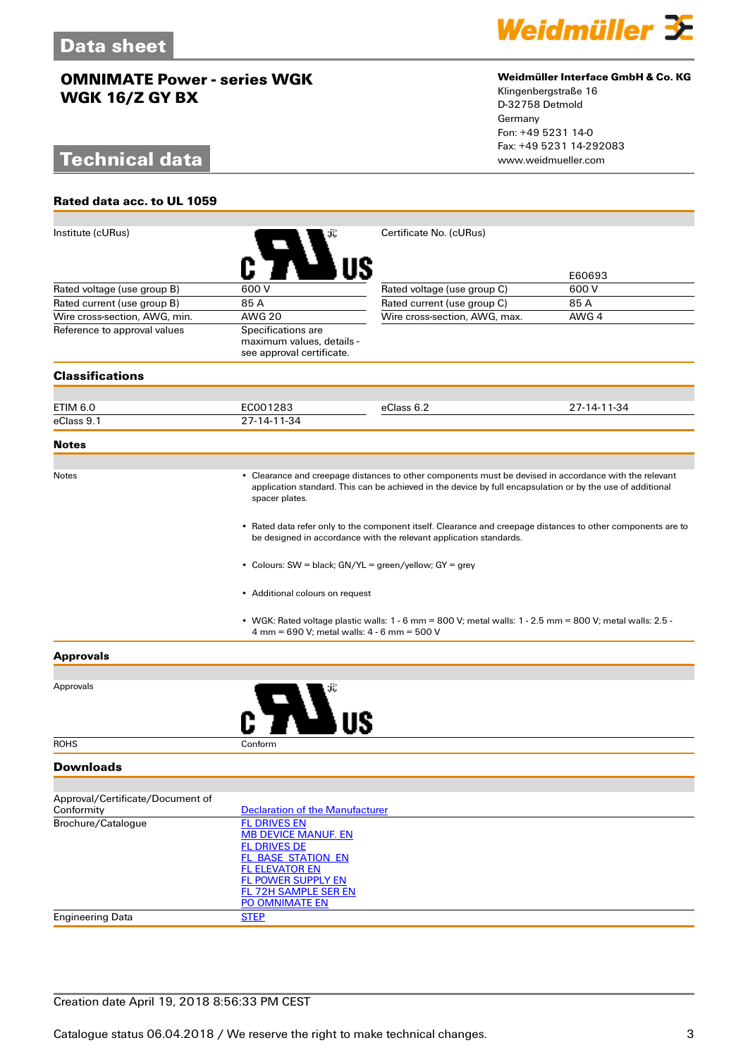# **Technical data**

**Rated data acc. to UL 1059**



#### **Weidmüller Interface GmbH & Co. KG**

Klingenbergstraße 16 D-32758 Detmold Germany Fon: +49 5231 14-0 Fax: +49 5231 14-292083

| Institute (cURus)                              |                                                                                                                                                                                                                                              | Certificate No. (cURus)                                                                                       |             |  |  |
|------------------------------------------------|----------------------------------------------------------------------------------------------------------------------------------------------------------------------------------------------------------------------------------------------|---------------------------------------------------------------------------------------------------------------|-------------|--|--|
|                                                |                                                                                                                                                                                                                                              |                                                                                                               | E60693      |  |  |
| Rated voltage (use group B)                    | 600 V                                                                                                                                                                                                                                        | Rated voltage (use group C)                                                                                   | 600 V       |  |  |
| Rated current (use group B)                    | 85 A                                                                                                                                                                                                                                         | Rated current (use group C)                                                                                   | 85 A        |  |  |
| Wire cross-section, AWG, min.                  | <b>AWG 20</b>                                                                                                                                                                                                                                | Wire cross-section, AWG, max.                                                                                 | AWG 4       |  |  |
| Reference to approval values                   | Specifications are<br>maximum values, details -<br>see approval certificate.                                                                                                                                                                 |                                                                                                               |             |  |  |
| <b>Classifications</b>                         |                                                                                                                                                                                                                                              |                                                                                                               |             |  |  |
|                                                |                                                                                                                                                                                                                                              |                                                                                                               |             |  |  |
| ETIM 6.0                                       | EC001283                                                                                                                                                                                                                                     | eClass 6.2                                                                                                    | 27-14-11-34 |  |  |
| eClass 9.1                                     | 27-14-11-34                                                                                                                                                                                                                                  |                                                                                                               |             |  |  |
| <b>Notes</b>                                   |                                                                                                                                                                                                                                              |                                                                                                               |             |  |  |
| Notes                                          | • Clearance and creepage distances to other components must be devised in accordance with the relevant<br>application standard. This can be achieved in the device by full encapsulation or by the use of additional<br>spacer plates.       |                                                                                                               |             |  |  |
|                                                | • Rated data refer only to the component itself. Clearance and creepage distances to other components are to<br>be designed in accordance with the relevant application standards.<br>• Colours: SW = black; GN/YL = green/yellow; GY = grey |                                                                                                               |             |  |  |
|                                                |                                                                                                                                                                                                                                              |                                                                                                               |             |  |  |
|                                                | • Additional colours on request                                                                                                                                                                                                              |                                                                                                               |             |  |  |
|                                                | 4 mm = 690 V; metal walls: 4 - 6 mm = 500 V                                                                                                                                                                                                  | • WGK: Rated voltage plastic walls: $1 - 6$ mm = 800 V; metal walls: $1 - 2.5$ mm = 800 V; metal walls: 2.5 - |             |  |  |
| <b>Approvals</b>                               |                                                                                                                                                                                                                                              |                                                                                                               |             |  |  |
|                                                |                                                                                                                                                                                                                                              |                                                                                                               |             |  |  |
| Approvals                                      |                                                                                                                                                                                                                                              |                                                                                                               |             |  |  |
| <b>ROHS</b>                                    | Conform                                                                                                                                                                                                                                      |                                                                                                               |             |  |  |
| <b>Downloads</b>                               |                                                                                                                                                                                                                                              |                                                                                                               |             |  |  |
|                                                |                                                                                                                                                                                                                                              |                                                                                                               |             |  |  |
| Approval/Certificate/Document of<br>Conformity | <b>Declaration of the Manufacturer</b>                                                                                                                                                                                                       |                                                                                                               |             |  |  |
| Brochure/Catalogue                             | <b>FL DRIVES EN</b><br><b>MB DEVICE MANUF. EN</b><br><b>FL DRIVES DE</b><br>FL BASE STATION EN<br><b>FL ELEVATOR EN</b><br><b>FL POWER SUPPLY EN</b><br><b>FL 72H SAMPLE SER EN</b><br>PO OMNIMATE EN                                        |                                                                                                               |             |  |  |
| <b>Engineering Data</b>                        | <b>STEP</b>                                                                                                                                                                                                                                  |                                                                                                               |             |  |  |
|                                                |                                                                                                                                                                                                                                              |                                                                                                               |             |  |  |

## Creation date April 19, 2018 8:56:33 PM CEST

Catalogue status 06.04.2018 / We reserve the right to make technical changes. 33